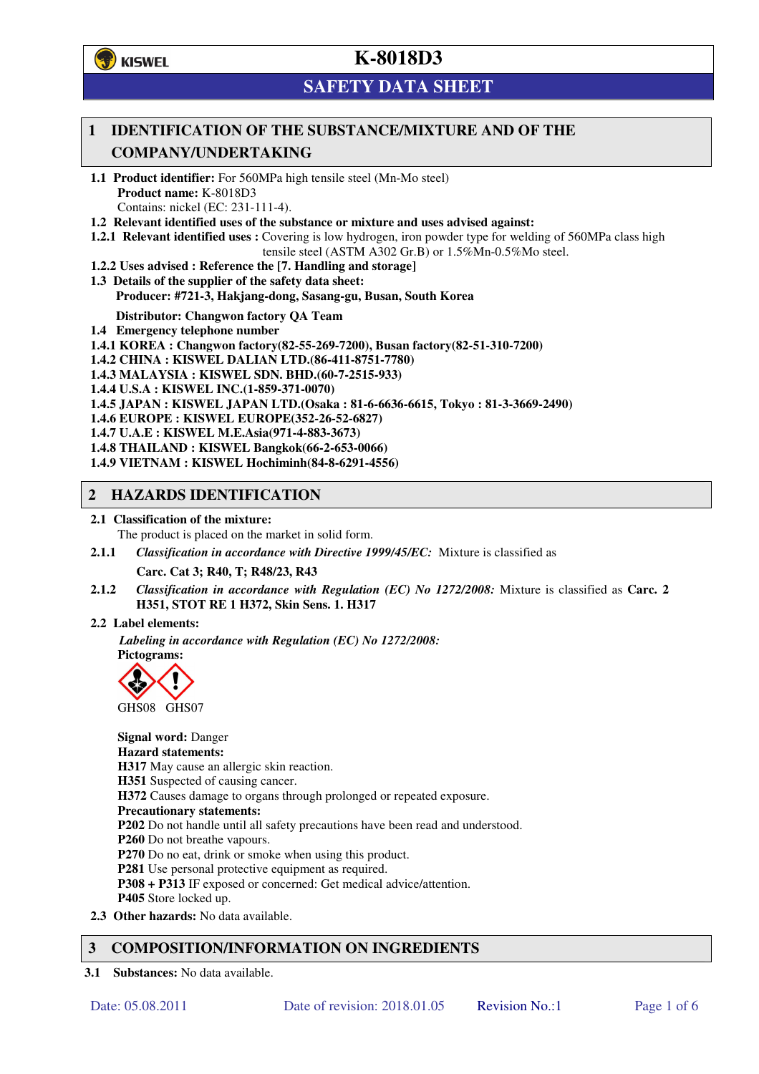**学**)KISWEL

# **K-8018D3**

# **SAFETY DATA SHEET**

## **1 IDENTIFICATION OF THE SUBSTANCE/MIXTURE AND OF THE COMPANY/UNDERTAKING**

- **1.1 Product identifier:** For 560MPa high tensile steel (Mn-Mo steel) **Product name:** K-8018D3 Contains: nickel (EC: 231-111-4).
- **1.2 Relevant identified uses of the substance or mixture and uses advised against:**
- **1.2.1 Relevant identified uses :** Covering is low hydrogen, iron powder type for welding of 560MPa class high tensile steel (ASTM A302 Gr.B) or 1.5%Mn-0.5%Mo steel.
- **1.2.2 Uses advised : Reference the [7. Handling and storage]**
- **1.3 Details of the supplier of the safety data sheet: Producer: #721-3, Hakjang-dong, Sasang-gu, Busan, South Korea**

**Distributor: Changwon factory QA Team** 

- **1.4 Emergency telephone number**
- **1.4.1 KOREA : Changwon factory(82-55-269-7200), Busan factory(82-51-310-7200)**
- **1.4.2 CHINA : KISWEL DALIAN LTD.(86-411-8751-7780)**
- **1.4.3 MALAYSIA : KISWEL SDN. BHD.(60-7-2515-933)**
- **1.4.4 U.S.A : KISWEL INC.(1-859-371-0070)**
- **1.4.5 JAPAN : KISWEL JAPAN LTD.(Osaka : 81-6-6636-6615, Tokyo : 81-3-3669-2490)**
- **1.4.6 EUROPE : KISWEL EUROPE(352-26-52-6827)**
- **1.4.7 U.A.E : KISWEL M.E.Asia(971-4-883-3673)**
- **1.4.8 THAILAND : KISWEL Bangkok(66-2-653-0066)**
- **1.4.9 VIETNAM : KISWEL Hochiminh(84-8-6291-4556)**

### **2 HAZARDS IDENTIFICATION**

- **2.1 Classification of the mixture:** 
	- The product is placed on the market in solid form.
- **2.1.1** *Classification in accordance with Directive 1999/45/EC:* Mixture is classified as

**Carc. Cat 3; R40, T; R48/23, R43** 

- **2.1.2** *Classification in accordance with Regulation (EC) No 1272/2008:* Mixture is classified as **Carc. 2 H351, STOT RE 1 H372, Skin Sens. 1. H317**
- **2.2 Label elements:**

*Labeling in accordance with Regulation (EC) No 1272/2008:*  **Pictograms:** 



**Signal word:** Danger **Hazard statements: H317** May cause an allergic skin reaction. **H351** Suspected of causing cancer. **H372** Causes damage to organs through prolonged or repeated exposure. **Precautionary statements: P202** Do not handle until all safety precautions have been read and understood. **P260** Do not breathe vapours. **P270** Do no eat, drink or smoke when using this product. **P281** Use personal protective equipment as required. **P308 + P313** IF exposed or concerned: Get medical advice/attention. **P405** Store locked up. **2.3 Other hazards:** No data available.

## **3 COMPOSITION/INFORMATION ON INGREDIENTS**

**3.1 Substances:** No data available.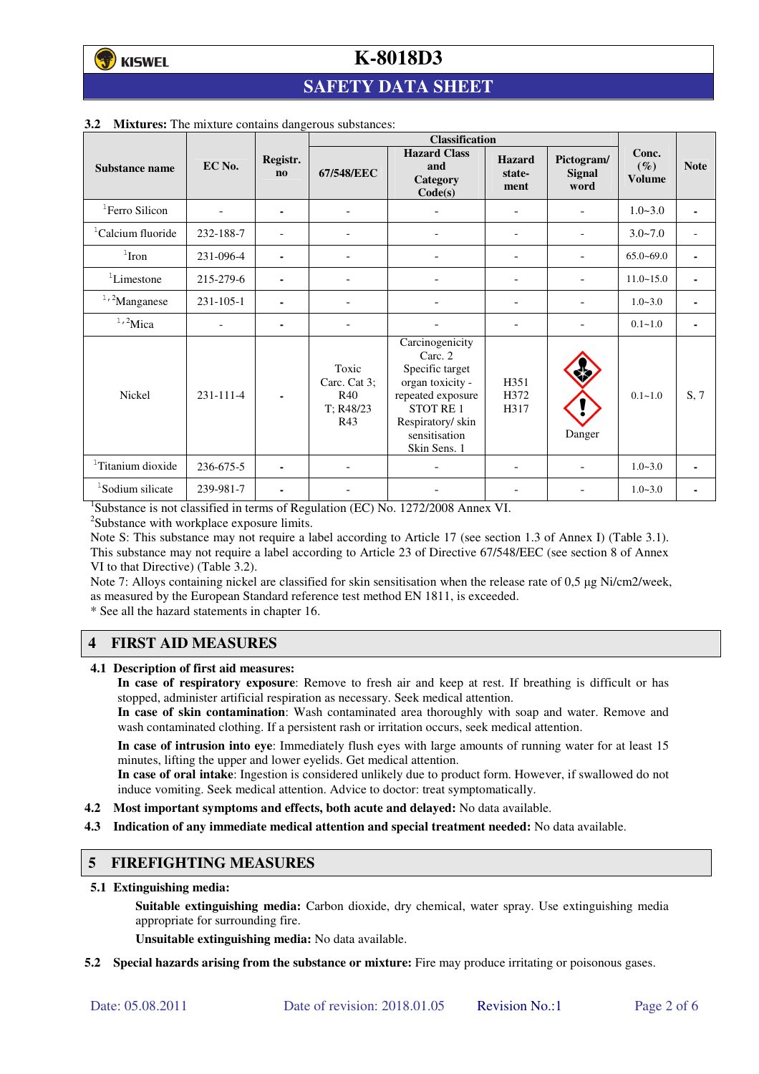## **SAFETY DATA SHEET**

|                               |           |                       | <b>Classification</b>                            |                                                                                                                                                                 |                                 |                                     |                                  |                          |
|-------------------------------|-----------|-----------------------|--------------------------------------------------|-----------------------------------------------------------------------------------------------------------------------------------------------------------------|---------------------------------|-------------------------------------|----------------------------------|--------------------------|
| Substance name                | EC No.    | Registr.<br>$\bf{no}$ | 67/548/EEC                                       | <b>Hazard Class</b><br>and<br>Category<br>Code(s)                                                                                                               | <b>Hazard</b><br>state-<br>ment | Pictogram/<br><b>Signal</b><br>word | Conc.<br>$(\%)$<br><b>Volume</b> | <b>Note</b>              |
| <sup>1</sup> Ferro Silicon    |           | ۰                     | $\blacksquare$                                   |                                                                                                                                                                 | ۰                               |                                     | $1.0 - 3.0$                      | ٠                        |
| <sup>1</sup> Calcium fluoride | 232-188-7 |                       |                                                  |                                                                                                                                                                 | $\qquad \qquad \blacksquare$    | $\qquad \qquad \blacksquare$        | $3.0 - 7.0$                      | $\overline{\phantom{a}}$ |
| $1$ Iron                      | 231-096-4 | ۰                     |                                                  |                                                                                                                                                                 |                                 |                                     | $65.0 - 69.0$                    | ٠                        |
| ${}^{1}$ Limestone            | 215-279-6 | ۰                     | ÷,                                               |                                                                                                                                                                 | ۰                               |                                     | $11.0 - 15.0$                    | ٠                        |
| $1,2$ Manganese               | 231-105-1 |                       |                                                  |                                                                                                                                                                 |                                 |                                     | $1.0 - 3.0$                      |                          |
| $1,2$ Mica                    |           | ۰                     |                                                  |                                                                                                                                                                 |                                 |                                     | $0.1 - 1.0$                      | ٠                        |
| <b>Nickel</b>                 | 231-111-4 |                       | Toxic<br>Carc. Cat 3;<br>R40<br>T: R48/23<br>R43 | Carcinogenicity<br>Carc. 2<br>Specific target<br>organ toxicity -<br>repeated exposure<br><b>STOT RE1</b><br>Respiratory/ skin<br>sensitisation<br>Skin Sens. 1 | H351<br>H372<br>H317            | Danger                              | $0.1 - 1.0$                      | S, 7                     |
| <sup>1</sup> Titanium dioxide | 236-675-5 |                       |                                                  |                                                                                                                                                                 |                                 |                                     | $1.0 - 3.0$                      |                          |
| <sup>1</sup> Sodium silicate  | 239-981-7 |                       |                                                  |                                                                                                                                                                 |                                 |                                     | $1.0 - 3.0$                      |                          |

#### **3.2 Mixtures:** The mixture contains dangerous substances:

<sup>1</sup>Substance is not classified in terms of Regulation (EC) No. 1272/2008 Annex VI.

<sup>2</sup>Substance with workplace exposure limits.

Note S: This substance may not require a label according to Article 17 (see section 1.3 of Annex I) (Table 3.1). This substance may not require a label according to Article 23 of Directive 67/548/EEC (see section 8 of Annex VI to that Directive) (Table 3.2).

Note 7: Alloys containing nickel are classified for skin sensitisation when the release rate of 0,5 µg Ni/cm2/week, as measured by the European Standard reference test method EN 1811, is exceeded.

\* See all the hazard statements in chapter 16.

## **4 FIRST AID MEASURES**

**4.1 Description of first aid measures:** 

**In case of respiratory exposure**: Remove to fresh air and keep at rest. If breathing is difficult or has stopped, administer artificial respiration as necessary. Seek medical attention.

**In case of skin contamination**: Wash contaminated area thoroughly with soap and water. Remove and wash contaminated clothing. If a persistent rash or irritation occurs, seek medical attention.

 **In case of intrusion into eye**: Immediately flush eyes with large amounts of running water for at least 15 minutes, lifting the upper and lower eyelids. Get medical attention.

**In case of oral intake**: Ingestion is considered unlikely due to product form. However, if swallowed do not induce vomiting. Seek medical attention. Advice to doctor: treat symptomatically.

- **4.2 Most important symptoms and effects, both acute and delayed:** No data available.
- **4.3 Indication of any immediate medical attention and special treatment needed:** No data available.

#### **5 FIREFIGHTING MEASURES**

**5.1 Extinguishing media:** 

**Suitable extinguishing media:** Carbon dioxide, dry chemical, water spray. Use extinguishing media appropriate for surrounding fire.

**Unsuitable extinguishing media:** No data available.

**5.2 Special hazards arising from the substance or mixture:** Fire may produce irritating or poisonous gases.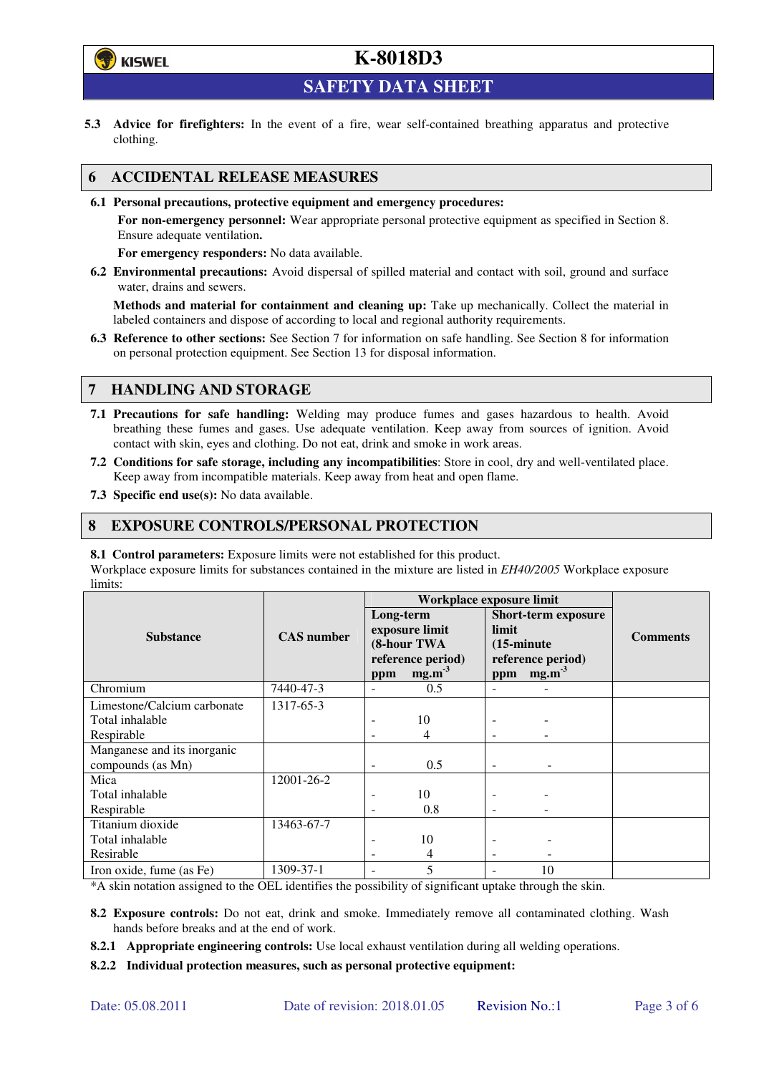

**SAFETY DATA SHEET** 

**5.3 Advice for firefighters:** In the event of a fire, wear self-contained breathing apparatus and protective clothing.

## **6 ACCIDENTAL RELEASE MEASURES**

**6.1 Personal precautions, protective equipment and emergency procedures:** 

**For non-emergency personnel:** Wear appropriate personal protective equipment as specified in Section 8. Ensure adequate ventilation**.** 

**For emergency responders:** No data available.

**6.2 Environmental precautions:** Avoid dispersal of spilled material and contact with soil, ground and surface water, drains and sewers.

**Methods and material for containment and cleaning up:** Take up mechanically. Collect the material in labeled containers and dispose of according to local and regional authority requirements.

**6.3 Reference to other sections:** See Section 7 for information on safe handling. See Section 8 for information on personal protection equipment. See Section 13 for disposal information.

## **7 HANDLING AND STORAGE**

- **7.1 Precautions for safe handling:** Welding may produce fumes and gases hazardous to health. Avoid breathing these fumes and gases. Use adequate ventilation. Keep away from sources of ignition. Avoid contact with skin, eyes and clothing. Do not eat, drink and smoke in work areas.
- **7.2 Conditions for safe storage, including any incompatibilities**: Store in cool, dry and well-ventilated place. Keep away from incompatible materials. Keep away from heat and open flame.
- **7.3 Specific end use(s):** No data available.

### **8 EXPOSURE CONTROLS/PERSONAL PROTECTION**

**8.1 Control parameters:** Exposure limits were not established for this product.

Workplace exposure limits for substances contained in the mixture are listed in *EH40/2005* Workplace exposure limits:

|                                                  |                   | Workplace exposure limit |                                                                         |                                      |                                                                      |                 |
|--------------------------------------------------|-------------------|--------------------------|-------------------------------------------------------------------------|--------------------------------------|----------------------------------------------------------------------|-----------------|
| <b>Substance</b>                                 | <b>CAS</b> number | Long-term<br>ppm         | exposure limit<br>(8-hour TWA<br>reference period)<br>mg.m <sup>3</sup> | limit<br>$(15\text{-minute})$<br>ppm | <b>Short-term exposure</b><br>reference period)<br>mg.m <sup>3</sup> | <b>Comments</b> |
| Chromium                                         | 7440-47-3         |                          | 0.5                                                                     |                                      |                                                                      |                 |
| Limestone/Calcium carbonate                      | 1317-65-3         |                          |                                                                         |                                      |                                                                      |                 |
| Total inhalable                                  |                   |                          | 10                                                                      |                                      |                                                                      |                 |
| Respirable                                       |                   |                          | 4                                                                       |                                      |                                                                      |                 |
| Manganese and its inorganic<br>compounds (as Mn) |                   | ٠                        | 0.5                                                                     | $\overline{\phantom{0}}$             |                                                                      |                 |
| Mica                                             | 12001-26-2        |                          |                                                                         |                                      |                                                                      |                 |
| Total inhalable                                  |                   |                          | 10                                                                      |                                      |                                                                      |                 |
| Respirable                                       |                   |                          | 0.8                                                                     |                                      |                                                                      |                 |
| Titanium dioxide                                 | 13463-67-7        |                          |                                                                         |                                      |                                                                      |                 |
| Total inhalable                                  |                   |                          | 10                                                                      |                                      |                                                                      |                 |
| Resirable                                        |                   |                          | 4                                                                       |                                      |                                                                      |                 |
| Iron oxide, fume (as Fe)                         | 1309-37-1         |                          | 5                                                                       |                                      | 10                                                                   |                 |

\*A skin notation assigned to the OEL identifies the possibility of significant uptake through the skin.

- **8.2 Exposure controls:** Do not eat, drink and smoke. Immediately remove all contaminated clothing. Wash hands before breaks and at the end of work.
- **8.2.1 Appropriate engineering controls:** Use local exhaust ventilation during all welding operations.
- **8.2.2 Individual protection measures, such as personal protective equipment:**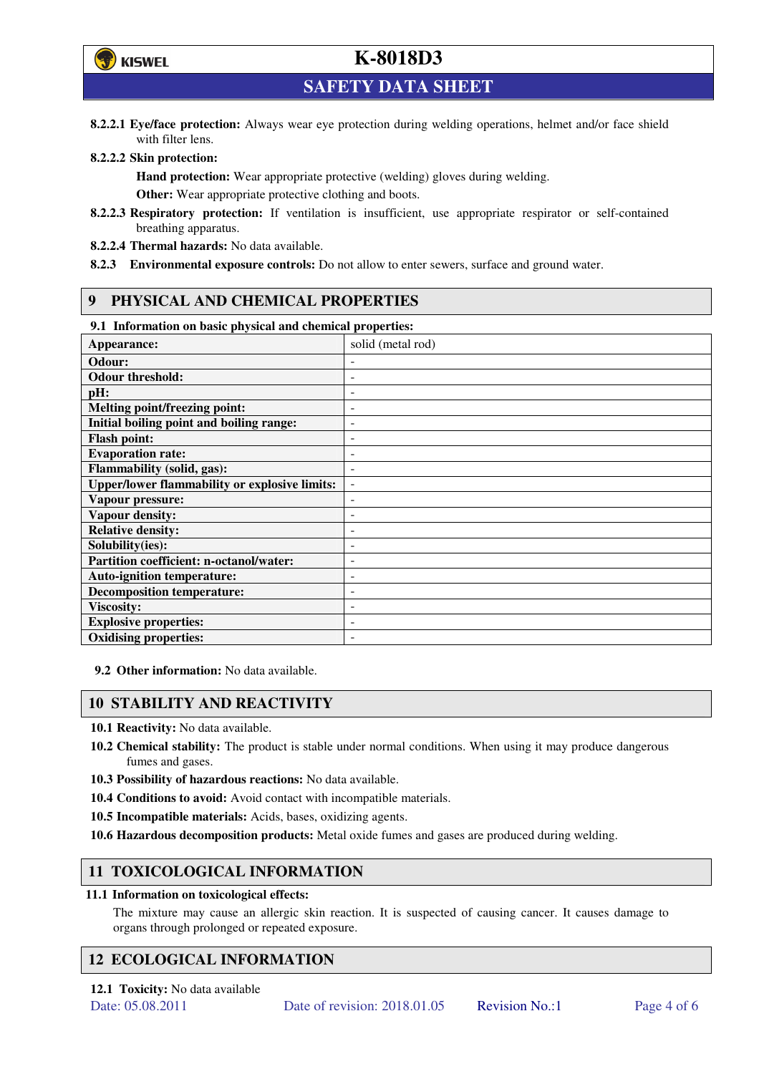

**SAFETY DATA SHEET** 

**8.2.2.1 Eye/face protection:** Always wear eye protection during welding operations, helmet and/or face shield with filter lens.

#### **8.2.2.2 Skin protection:**

**Hand protection:** Wear appropriate protective (welding) gloves during welding. **Other:** Wear appropriate protective clothing and boots.

- **8.2.2.3 Respiratory protection:** If ventilation is insufficient, use appropriate respirator or self-contained breathing apparatus.
- **8.2.2.4 Thermal hazards:** No data available.
- **8.2.3 Environmental exposure controls:** Do not allow to enter sewers, surface and ground water.

### **9 PHYSICAL AND CHEMICAL PROPERTIES**

#### **9.1 Information on basic physical and chemical properties:**

| эт тигериштери он ошис рнужки ини сисписит ргорегием |                          |
|------------------------------------------------------|--------------------------|
| Appearance:                                          | solid (metal rod)        |
| Odour:                                               |                          |
| <b>Odour threshold:</b>                              |                          |
| pH:                                                  |                          |
| <b>Melting point/freezing point:</b>                 | -                        |
| Initial boiling point and boiling range:             | $\overline{a}$           |
| <b>Flash point:</b>                                  |                          |
| <b>Evaporation rate:</b>                             |                          |
| <b>Flammability (solid, gas):</b>                    |                          |
| <b>Upper/lower flammability or explosive limits:</b> | $\overline{\phantom{a}}$ |
| Vapour pressure:                                     | ۰                        |
| Vapour density:                                      |                          |
| <b>Relative density:</b>                             |                          |
| Solubility(ies):                                     |                          |
| Partition coefficient: n-octanol/water:              | $\overline{a}$           |
| <b>Auto-ignition temperature:</b>                    | ۰                        |
| <b>Decomposition temperature:</b>                    |                          |
| <b>Viscosity:</b>                                    |                          |
| <b>Explosive properties:</b>                         | ٠                        |
| <b>Oxidising properties:</b>                         | -                        |
|                                                      |                          |

**9.2 Other information:** No data available.

### **10 STABILITY AND REACTIVITY**

**10.1 Reactivity:** No data available.

- **10.2 Chemical stability:** The product is stable under normal conditions. When using it may produce dangerous fumes and gases.
- **10.3 Possibility of hazardous reactions:** No data available.
- **10.4 Conditions to avoid:** Avoid contact with incompatible materials.
- **10.5 Incompatible materials:** Acids, bases, oxidizing agents.
- **10.6 Hazardous decomposition products:** Metal oxide fumes and gases are produced during welding.

## **11 TOXICOLOGICAL INFORMATION**

#### **11.1 Information on toxicological effects:**

The mixture may cause an allergic skin reaction. It is suspected of causing cancer. It causes damage to organs through prolonged or repeated exposure.

## **12 ECOLOGICAL INFORMATION**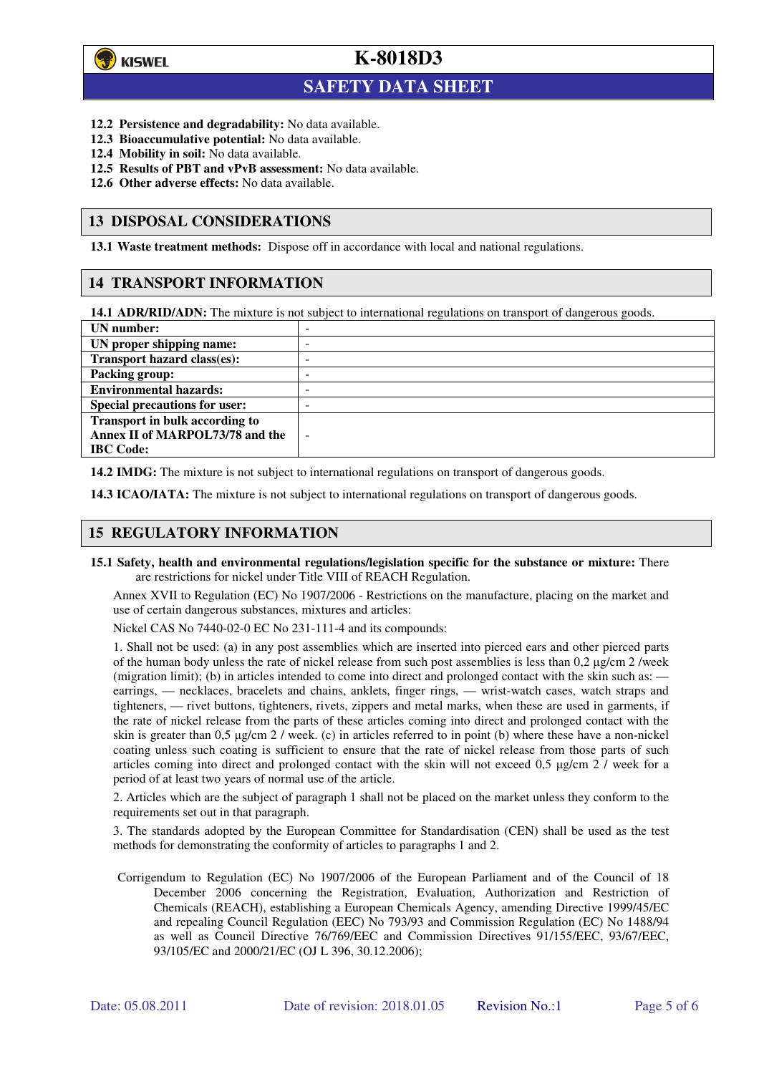

 $\overline{a}$ 

**K-8018D3**

## **SAFETY DATA SHEET**

- **12.2 Persistence and degradability:** No data available.
- **12.3 Bioaccumulative potential:** No data available.
- **12.4 Mobility in soil:** No data available.
- **12.5 Results of PBT and vPvB assessment:** No data available.
- **12.6 Other adverse effects:** No data available.

### **13 DISPOSAL CONSIDERATIONS**

**13.1 Waste treatment methods:** Dispose off in accordance with local and national regulations.

### **14 TRANSPORT INFORMATION**

**14.1 ADR/RID/ADN:** The mixture is not subject to international regulations on transport of dangerous goods.

| UN number:                            | - |
|---------------------------------------|---|
| UN proper shipping name:              | - |
| Transport hazard class(es):           | - |
| <b>Packing group:</b>                 | - |
| <b>Environmental hazards:</b>         | - |
| <b>Special precautions for user:</b>  | - |
| <b>Transport in bulk according to</b> |   |
| Annex II of MARPOL73/78 and the       | - |
| <b>IBC</b> Code:                      |   |

**14.2 IMDG:** The mixture is not subject to international regulations on transport of dangerous goods.

**14.3 ICAO/IATA:** The mixture is not subject to international regulations on transport of dangerous goods.

## **15 REGULATORY INFORMATION**

**15.1 Safety, health and environmental regulations/legislation specific for the substance or mixture:** There are restrictions for nickel under Title VIII of REACH Regulation.

Annex XVII to Regulation (EC) No 1907/2006 - Restrictions on the manufacture, placing on the market and use of certain dangerous substances, mixtures and articles:

Nickel CAS No 7440-02-0 EC No 231-111-4 and its compounds:

1. Shall not be used: (a) in any post assemblies which are inserted into pierced ears and other pierced parts of the human body unless the rate of nickel release from such post assemblies is less than  $0.2 \mu$ g/cm  $2$ /week (migration limit); (b) in articles intended to come into direct and prolonged contact with the skin such as: earrings, — necklaces, bracelets and chains, anklets, finger rings, — wrist-watch cases, watch straps and tighteners, — rivet buttons, tighteners, rivets, zippers and metal marks, when these are used in garments, if the rate of nickel release from the parts of these articles coming into direct and prolonged contact with the skin is greater than 0,5 µg/cm 2 / week. (c) in articles referred to in point (b) where these have a non-nickel coating unless such coating is sufficient to ensure that the rate of nickel release from those parts of such articles coming into direct and prolonged contact with the skin will not exceed 0,5 µg/cm 2 / week for a period of at least two years of normal use of the article.

2. Articles which are the subject of paragraph 1 shall not be placed on the market unless they conform to the requirements set out in that paragraph.

3. The standards adopted by the European Committee for Standardisation (CEN) shall be used as the test methods for demonstrating the conformity of articles to paragraphs 1 and 2.

Corrigendum to Regulation (EC) No 1907/2006 of the European Parliament and of the Council of 18 December 2006 concerning the Registration, Evaluation, Authorization and Restriction of Chemicals (REACH), establishing a European Chemicals Agency, amending Directive 1999/45/EC and repealing Council Regulation (EEC) No 793/93 and Commission Regulation (EC) No 1488/94 as well as Council Directive 76/769/EEC and Commission Directives 91/155/EEC, 93/67/EEC, 93/105/EC and 2000/21/EC (OJ L 396, 30.12.2006);